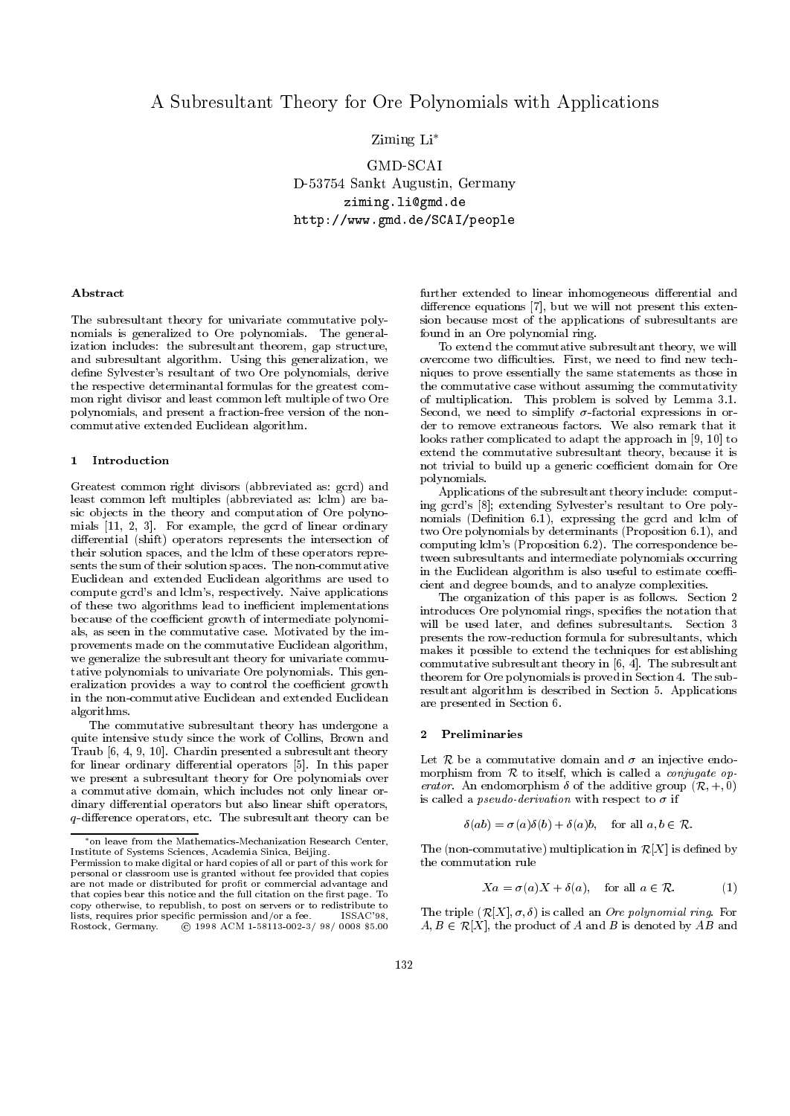# A Subresultant Theory for Ore Polynomials with Applications

## Ziming Li

GMD-SCAI D-53754 Sankt Augustin, Germany ziming.li@gmd.de http://www.gmd.de/SCAI/people

### Abstract

The subresultant theory for univariate commutative polynomials is generalized to Ore polynomials. The generalization includes: the subresultant theorem, gap structure, and subresultant algorithm. Using this generalization, we define Sylvester's resultant of two Ore polynomials, derive the respective determinantal formulas for the greatest common right divisor and least common left multiple of two Ore polynomials, and present a fraction-free version of the non commutative extended Euclidean algorithm.

### 1 Introduction

Greatest common right divisors (abbreviated as: gcrd) and least common left multiples (abbreviated as: lclm) are basic ob jects in the theory and computation of Ore polynomials [11, 2, 3]. For example, the gcrd of linear ordinary differential (shift) operators represents the intersection of their solution spaces, and the lclm of these operators repre sents the sum of their solution spaces. The non-commutative Euclidean and extended Euclidean algorithms are used to compute gcrd's and lclm's, respectively. Naive applications of these two algorithms lead to inefficient implementations because of the coefficient growth of intermediate polynomials, as seen in the commutative case. Motivated by the improvements made on the commutative Euclidean algorithm, we generalize the subresultant theory for univariate commu tative polynomials to univariate Ore polynomials. This generalization provides a way to control the coefficient growth in the non-commutative Euclidean and extended Euclidean algorithms.

The commutative subresultant theory has undergone a quite intensive study since the work of Collins, Brown and Traub [6, 4, 9, 10]. Chardin presented a subresultant theory for linear ordinary differential operators [5]. In this paper we present a subresultant theory for Ore polynomials over a commutative domain, which includes not only linear or dinary differential operators but also linear shift operators,  $q$ -difference operators, etc. The subresultant theory can be

further extended to linear inhomogeneous differential and difference equations  $[7]$ , but we will not present this extension because most of the applications of subresultants are found in an Ore polynomial ring.

To extend the commutative subresultant theory, we will overcome two difficulties. First, we need to find new techniques to prove essentially the same statements as those in the commutative case without assuming the commutativity of multiplication. This problem is solved by Lemma 3.1. Second, we need to simplify  $\sigma$ -factorial expressions in order to remove extraneous factors. We also remark that it looks rather complicated to adapt the approach in [9, 10] to extend the commutative subresultant theory, because it is not trivial to build up a generic coefficient domain for Ore polynomials.

Applications of the subresultant theory include: computing gcrd's [8]; extending Sylvester's resultant to Ore polynomials (Definition 6.1), expressing the gcrd and lclm of two Ore polynomials by determinants (Proposition 6.1), and computing lclm's (Proposition 6.2). The correspondence between subresultants and intermediate polynomials occurring in the Euclidean algorithm is also useful to estimate coefficient and degree bounds, and to analyze complexities.

The organization of this paper is as follows. Section 2 introduces Ore polynomial rings, specifies the notation that will be used later, and defines subresultants. Section 3 presents the row-reduction formula for subresultants, which makes it possible to extend the techniques for establishing commutative subresultant theory in [6, 4]. The subresultant theorem for Ore polynomials is proved in Section 4. The subresultant algorithm is described in Section 5. Applications are presented in Section 6.

### 2 Preliminaries

Let R be a commutative domain and  $\sigma$  an injective endomorphism from  $R$  to itself, which is called a *conjugate op*erator. An endomorphism  $\delta$  of the additive group  $(\mathcal{R}, +, 0)$ is called a *pseudo-derivation* with respect to  $\sigma$  if

$$
\delta(ab) = \sigma(a)\delta(b) + \delta(a)b, \quad \text{for all } a, b \in \mathcal{R}.
$$

The (non-commutative) multiplication in  $\mathcal{R}[X]$  is defined by the commutation rule

$$
Xa = \sigma(a)X + \delta(a), \quad \text{for all } a \in \mathcal{R}.
$$
 (1)

The triple  $(R[X], \sigma, \delta)$  is called an *Ore polynomial ring*. For  $A, B \in \mathcal{R}[X]$ , the product of A and B is denoted by AB and

 $^*$ on leave from the Mathematics-Mechanization Research Center, Institute of Systems Sciences, Academia Sinica, Beijing. Permission to make digital or hard copies of all or part of this work for personal or classroom use is granted without fee provided that copies are not made or distributed for profit or commercial advantage and that copies bear this notice and the full citation on the first page. To copy otherwise, to republish, to post on servers or to redistribute to lists, requires prior specific permission and/or a fee. ISSAC'98, Rostock, Germany. C 1998 ACM 1-58113-002-3/ 98/ 0008 \$5.00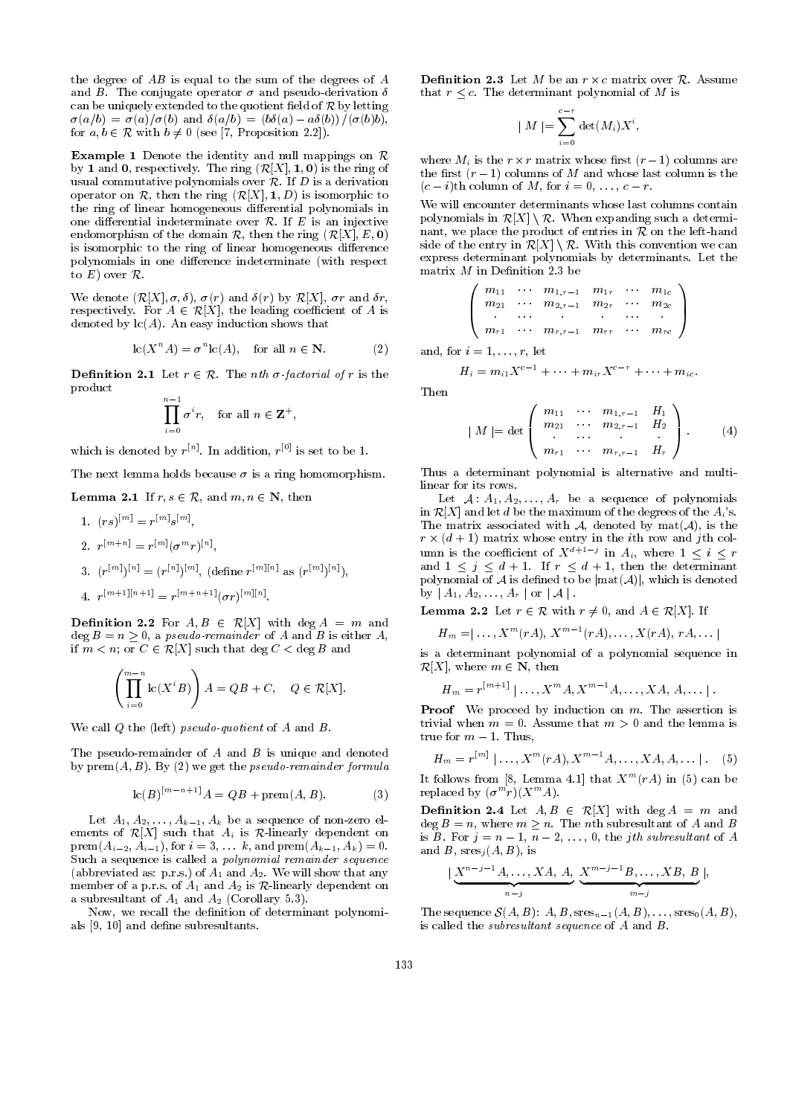the degree of  $AB$  is equal to the sum of the degrees of  $A$ and B. The conjugate operator  $\sigma$  and pseudo-derivation  $\delta$ can be uniquely extended to the quotient field of  $R$  by letting  $\sigma(a/b) = \sigma(a)/\sigma(b)$  and  $\delta(a/b) = (b\delta(a) - a\delta(b))/(\sigma(b)b)$ , for  $a, b \in \mathcal{R}$  with  $b \neq 0$  (see [7, Proposition 2.2]).

**Example 1** Denote the identity and null mappings on  $\mathcal{R}$ by 1 and 0, respectively. The ring  $(R[X], 1, 0)$  is the ring of usual commutative polynomials over  $R$ . If  $D$  is a derivation operator on  $\mathcal{R}$ , then the ring  $(\mathcal{R}[X], \mathbf{1}, D)$  is isomorphic to the ring of linear homogeneous differential polynomials in one differential indeterminate over  $R$ . If E is an injective endomorphism of the domain  $\mathcal{R}$ , then the ring  $(\mathcal{R}[X], E, 0)$ is isomorphic to the ring of linear homogeneous difference polynomials in one difference indeterminate (with respect to  $E$ ) over  $R$ .

 $\mathcal{W}$ ; , and  $\mathcal{W}$ ; (respectively), (r) and (r)  $\mathcal{W}$ , r and  $\mathcal{W}$ , r and  $\mathcal{W}$ , r and  $\mathcal{W}$ respectively. For A 2 Respectively. For A is a set A is a coecient of A is a isomorphism of A is a isomorphism o denoted by  $lc(A)$ . An easy induction shows that

$$
lc(X^n A) = \sigma^n lc(A), \quad \text{for all } n \in \mathbb{N}.
$$
 (2)

**Definition 2.1** Let  $r \in \mathcal{R}$ . The *nth*  $\sigma$ *-factorial of*  $r$  is the product the contract of the contract of the contract of the contract of the contract of the contract of the contract of the contract of the contract of the contract of the contract of the contract of the contract of the co

$$
\prod_{i=0}^{n-1} \sigma^i r
$$
, for all  $n \in \mathbf{Z}^+$ ,

which is denoted by  $r^{\ldots}$  . In addition,  $r^{\ldots}$  is set to be 1.

The next lemma holds because  $\sigma$  is a ring homomorphism.

### **Lemma 2.1** If  $r, s \in \mathcal{R}$ , and  $m, n \in \mathbb{N}$ , then

- 1.  $(rs)$   $=$   $r^{(n)}s$   $\ldots$
- 2.  $r^{(m+1)} = r^{(m)}(\sigma^{(m)}r)^{m}$
- 3.  $(r^{(m)})^{(m)} = (r^{(m)})^{(m)}$ , (define  $r^{(m)}$ <sup>n</sup> as  $(r^{(m)})^{(m)}$ ),
- $\mathcal{I}^{\text{max}} = r^{(m+n+1)}[\sigma r]^{\text{max}}$

 $=$  respectively. The respectively in the respectively of  $\mathcal{R}$ 

**Definition 2.2** For  $A, B \in \mathcal{R}[X]$  with deg  $A = m$  and<br>dog  $B = n > 0$ , a negative regardor of  $A$  and  $B$  is either  $A$ deg  $B = n \geq 0$ , a *pseudo-remainder* of A and B is either A, if  $m < n$ ; or  $C \in \mathcal{R}[X]$  such that  $\deg C < \deg B$  and

$$
\left(\prod_{i=0}^{m-n} \operatorname{lc}(X^i B)\right) A = QB + C, \quad Q \in \mathcal{R}[X]
$$

We call  $Q$  the (left) pseudo-quotient of  $A$  and  $B$ .

The pseudo-remainder of  $A$  and  $B$  is unique and denoted by  $\text{prem}(A, B)$ . By (2) we get the *pseudo-remainder formula* 

$$
lc(B)^{[m-n+1]}A = QB + \text{prem}(A, B). \tag{3}
$$

Let  $A_1, A_2, \ldots, A_{k-1}, A_k$  be a sequence of non-zero elements of  $\mathcal{R}[X]$  such that  $A_i$  is  $\mathcal{R}$ -linearly dependent on  $prem(A_{i-2}, A_{i-1}),$  for  $i = 3, \ldots k$ , and  $prem(A_{k-1}, A_k) = 0$ . Such a sequence is called a polynomial remainder sequence (abbreviated as: p.r.s.) of  $A_1$  and  $A_2$ . We will show that any member of a p.r.s. of  $A_1$  and  $A_2$  is  $R$ -linearly dependent on a subresultant of  $A_1$  and  $A_2$  (Corollary 5.3).

Now, we recall the definition of determinant polynomials [9, 10] and define subresultants.

that  $r \leq c$ . The determinant polynomial of M is

$$
\mid M \mid = \sum_{i=0}^{c-r} \det(M_i) X^i,
$$

 $\cdots$  and  $\cdots$  are recovered to the results are recovered to the recovered of  $\cdots$  . the first  $(r-1)$  columns of M and whose last column is the  $(c - i)$ th column of M, for  $i = 0, \ldots, c - r$ .

We will encounter determinants whose last columns contain polynomials in  $\mathcal{R}[X] \setminus \mathcal{R}$ . When expanding such a determinant, we place the product of entries in  $\tilde{\mathcal{R}}$  on the left-hand side of the entry in  $\mathcal{R}[X] \setminus \mathcal{R}$ . With this convention we can express determinant polynomials by determinants. Let the matrix  $M$  in Definition 2.3 be

$$
\left(\begin{array}{cccc}m_{11} & \cdots & m_{1,r-1} & m_{1r} & \cdots & m_{1c} \\m_{21} & \cdots & m_{2,r-1} & m_{2r} & \cdots & m_{2c} \\ \cdot & \cdot & \cdot & \cdot & \cdot & \cdot \\m_{r1} & \cdots & m_{r,r-1} & m_{rr} & \cdots & m_{rc}\end{array}\right)
$$

and, for  $i = 1, \ldots, r$ , let

$$
H_i=m_{i1}X^{c-1}+\cdots+m_{ir}X^{c-r}+\cdots+m_{ic}.
$$

Then

$$
| M | = \det \begin{pmatrix} m_{11} & \cdots & m_{1,r-1} & H_1 \\ m_{21} & \cdots & m_{2,r-1} & H_2 \\ \vdots & \vdots & \ddots & \vdots \\ m_{r1} & \cdots & m_{r,r-1} & H_r \end{pmatrix} .
$$
 (4)

Thus a determinant polynomial is alternative and multilinear for its rows.

Let  $A: A_1, A_2, \ldots, A_r$  be a sequence of polynomials in  $\mathcal{R}[X]$  and let d be the maximum of the degrees of the  $A_i$ 's. The matrix associated with  $\mathcal{A}$ , denoted by mat $(\mathcal{A})$ , is the r - (die is the internal matrix whose entry in the internal matrix whose entry in the internal matrix of the i umn is the coefficient of  $X^{n+1}$  in  $A_i$ , where  $1 \leq i \leq r$ and  $1 \leq j \leq d + 1$ . If  $r \leq d + 1$ , then the determinant polynomial of  $A$  is defined to be  $|\text{mat}(A)|$ , which is denoted by  $\mid A_1, A_2, \ldots, A_r \mid \text{or} \mid A \mid$ .

**Lemma 2.2** Let  $r \in \mathcal{R}$  with  $r \neq 0$ , and  $A \in \mathcal{R}[X]$ . If

$$
H_m = \mid \ldots, X^m(rA), X^{m-1}(rA), \ldots, X(rA), rA, \ldots \mid
$$

is a determinant polynomial of a polynomial sequence in  $\mathcal{R}[X]$ , where  $m \in \mathbf{N}$ , then

$$
H_m = r^{[m+1]} | \ldots, X^m A, X^{m-1} A, \ldots, X A, A, \ldots |.
$$

**Proof** We proceed by induction on  $m$ . The assertion is trivial when  $m = 0$ . Assume that  $m > 0$  and the lemma is true for  $m - 1$ . Thus,

$$
H_m = r^{[m]} | \dots, X^m (rA), X^{m-1} A, \dots, XA, A, \dots |.
$$
 (5)

It follows from  $[8, \text{ Lemma 4.1}]$  that  $X^-(TA)$  in (5) can be replaced by  $(\sigma^{-r})(X^{\cdots}A).$ 

**Definition 2.4** Let  $A, B \in \mathcal{R}[X]$  with deg  $A = m$  and  $\deg B = n$ , where  $m \geq n$ . The nth subresultant of A and B is B. For  $j = n - 1, n - 2, \ldots, 0$ , the *j*th subresultant of A and B,  $sres<sub>j</sub>(A, B)$ , is

$$
\big|\underbrace{X^{n-j-1}A,\ldots,XA,\,A}_{n-j},\,\underbrace{X^{m-j-1}B,\ldots,XB,\,B}_{m-j}\big|,
$$

The sequence  $\mathcal{S}(A, B)$ :  $A, B$ ,  $sres_{n-1} (A, B), \ldots$ ,  $sres_0(A, B),$ is called the *subresultant sequence* of  $A$  and  $B$ .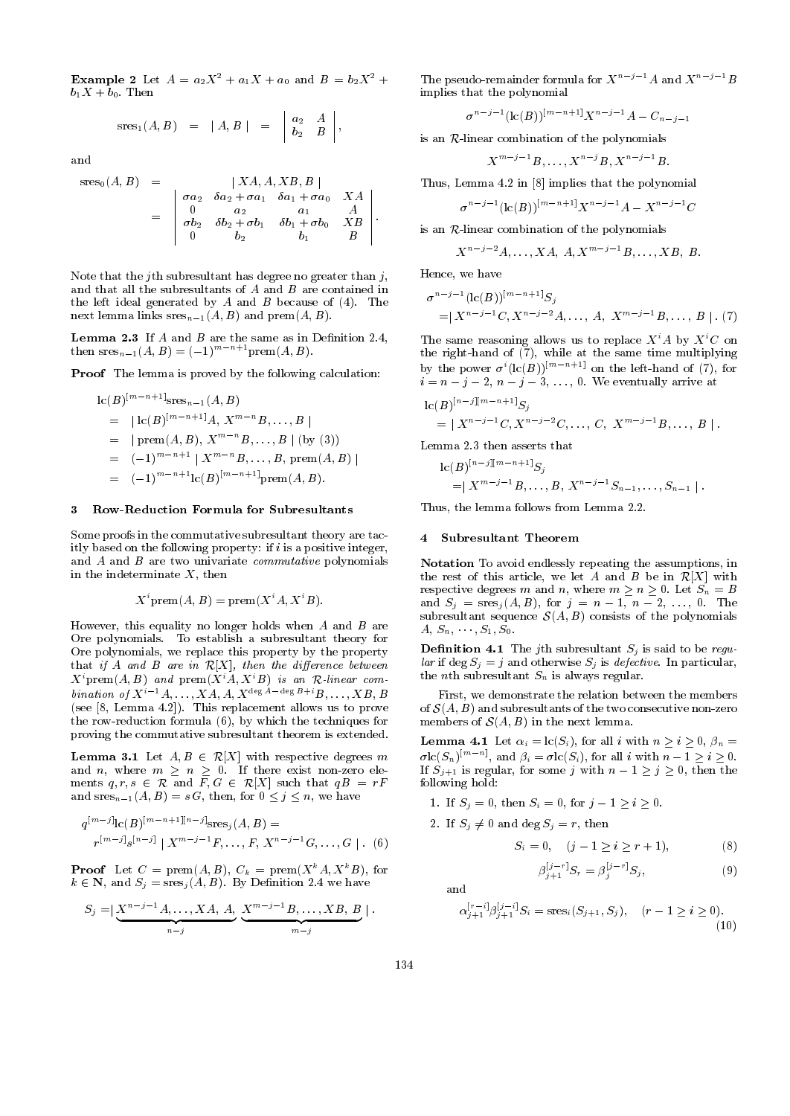**Example 2** Let  $A = a_2X^2 + a_1X + a_0$  and  $B = b_2X^2 +$  $b_1X + b_0$ . Then

$$
sres1(A, B) = |A, B| = \begin{vmatrix} a_2 & A \\ b_2 & B \end{vmatrix},
$$

 $\mathcal{L}^{\mathcal{L}}$ 

$$
sres0(A, B) = \begin{vmatrix} XA, A, XB, B \\ \sigma a_2 & \delta a_2 + \sigma a_1 & \delta a_1 + \sigma a_0 & XA \\ 0 & a_2 & a_1 & A \\ \sigma b_2 & \delta b_2 + \sigma b_1 & \delta b_1 + \sigma b_0 & XB \\ 0 & b_2 & b_1 & B \end{vmatrix}
$$
.

Note that the j<sup>th</sup> subresultant has degree no greater than  $j$ , and that all the subresultants of  $A$  and  $B$  are contained in the left ideal generated by  $A$  and  $B$  because of  $(4)$ . The next lemma links  $sres_{n-1}(A, B)$  and  $prem(A, B)$ .

**Lemma 2.3** If  $A$  and  $B$  are the same as in Definition 2.4, then  $sres_{n-1}(A, B)=(-1)^{m-n+1}$  prem(A, B).

Proof The lemma is proved by the following calculation:

$$
lc(B)^{[m-n+1]{}_{\text{Sres}_{n-1}}(A, B)}
$$
  
= |lc(B)^{[m-n+1]}A, X^{m-n}B, ..., B|  
= | prem(A, B), X^{m-n}B, ..., B | (by (3))  
= (-1)^{m-n+1} | X^{m-n}B, ..., B, prem(A, B)|  
= (-1)^{m-n+1}lc(B)^{[m-n+1]}rem(A, B).

#### $\mathbf{R}$ 3 Row-Reduction Formula for Subresultants

Some proofs in the commutative subresultant theory are tacitly based on the following property: if  $i$  is a positive integer, and A and B are two univariate *commutative* polynomials in the indeterminate  $X$ , then

$$
X^i
$$
prem $(A, B)$  = prem $(X^i A, X^i B)$ .

However, this equality no longer holds when  $A$  and  $B$  are Ore polynomials. To establish a subresultant theory for Ore polynomials, we replace this property by the property that if A and B are in  $\mathcal{R}[X]$ , then the difference between  $X^i$ prem $(A, B)$  and prem $(X^i A, X^i B)$  is an R-linear combination of  $X^{i-1}A, \ldots, XA, A, X^{\deg A - \deg B + i}B, \ldots, XB, B$ (see [8, Lemma 4.2]). This replacement allows us to prove the row-reduction formula (6), by which the techniques for proving the commutative subresultant theorem is extended.

**Lemma 3.1** Let  $A, B \in \mathcal{R}[X]$  with respective degrees m and *n*, where  $m \geq n \geq 0$ . If there exist non-zero elements  $q, r, s \in \mathcal{R}$  and  $\overline{F}, G \in \mathcal{R}[X]$  such that  $qB = rF$ and  $sres_{n-1}(A, B) = s G$ , then, for  $0 \leq j \leq n$ , we have

$$
q^{[m-j]} \text{lc}(B)^{[m-n+1][n-j]} \text{sres}_j(A, B) =
$$
  

$$
r^{[m-j]} \text{ls}^{[n-j]} | X^{m-j-1} F, \dots, F, X^{n-j-1} G, \dots, G | .
$$
 (6)

**Proof** Let  $C = \text{prem}(A, B)$ ,  $C_k = \text{prem}(X^k A, X^k B)$ , for  $k \in \mathbb{N}$ , and  $S_j = \operatorname{sres}_j(A, B)$ . By Definition 2.4 we have

$$
S_j = \big|\underbrace{X^{n-j-1}A, \ldots, XA, A}_{n-j}, \underbrace{X^{m-j-1}B, \ldots, XB, B}_{m-j}\big|.
$$

The pseudo-remainder formula for  $X^{n-j-1}A$  and  $X^{n-j-1}B$ implies that the polynomial

$$
\sigma^{n-j-1}(\text{lc}(B))^{\lceil m-n+1 \rceil} X^{n-j-1} A - C_{n-j-1}
$$

is an R-linear combination of the polynomials

$$
X^{m-j-1}B,\ldots,X^{n-j}B,X^{n-j-1}B.
$$

Thus, Lemma 4.2 in [8] implies that the polynomial

$$
\sigma^{n-j-1}(\text{lc}(B))^{[m-n+1]}X^{n-j-1}A-X^{n-j-1}C
$$

is an  $R$ -linear combination of the polynomials

$$
X^{n-j-2}A,\ldots,XA, A, X^{m-j-1}B,\ldots, XB, B.
$$

Hence, we have

$$
\sigma^{n-j-1}(\text{lc}(B))^{[m-n+1]}S_j
$$
  
=  $|X^{n-j-1}C, X^{n-j-2}A, \dots, A, X^{m-j-1}B, \dots, B| \cdot (7)$ 

The same reasoning allows us to replace  $X^iA$  by  $X^iC$  on the right-hand of  $(7)$ , while at the same time multiplying by the power  $\sigma^{i}(\text{lc}(B))^{[m-n+1]}$  on the left-hand of (7), for  $i = n - j - 2, n - j - 3, \ldots, 0$ . We eventually arrive at

$$
\mathrm{lc}(B)^{[n-j][m-n+1]}S_j = | X^{n-j-1}C, X^{n-j-2}C, \ldots, C, X^{m-j-1}B, \ldots, B | .
$$

Lemma 2.3 then asserts that

$$
\operatorname{lc}(B)^{[n-j][m-n+1]}S_j = |X^{m-j-1}B, \ldots, B, X^{n-j-1}S_{n-1}, \ldots, S_{n-1}|.
$$

Thus, the lemma follows from Lemma 2.2.

#### $\blacktriangleleft$ 4 Subresultant Theorem

Notation To avoid endlessly repeating the assumptions, in the rest of this article, we let A and B be in  $\mathcal{R}[X]$  with respective degrees m and n, where  $m \ge n \ge 0$ . Let  $S_n = B$ and  $S_j = \text{res}_j(A, B)$ , for  $j = n - 1, n - 2, ..., 0$ . The subresultant sequence  $\mathcal{S}(A, B)$  consists of the polynomials  $A, S_n, \dots, S_1, S_0.$ 

**Definition 4.1** The jth subresultant  $S_j$  is said to be regular if deg  $S_j = j$  and otherwise  $S_j$  is defective. In particular, the *n*th subresultant  $S_n$  is always regular.

First, we demonstrate the relation between the members of  $\mathcal{S}(A, B)$  and subresultants of the two consecutive non-zero members of  $\mathcal{S}(A, B)$  in the next lemma.

**Lemma 4.1** Let  $\alpha_i = \text{lc}(S_i)$ , for all i with  $n \geq i \geq 0$ ,  $\beta_n =$  $\sigma$ Ic( $S_n$ )<sup>n</sup>  $\ldots$ , and  $\beta_i = \sigma$ Ic( $S_i$ ), for all i with  $n-1 \geq i \geq 0$ . If  $S_{j+1}$  is regular, for some j with  $n-1 \geq j \geq 0$ , then the following hold:

- 1. If  $S_i = 0$ , then  $S_i = 0$ , for  $j 1 \ge i \ge 0$ .
- 2. If  $S_i \neq 0$  and deg  $S_j = r$ , then

$$
S_i = 0, \quad (j - 1 \ge i \ge r + 1), \tag{8}
$$

$$
\beta_{j+1}^{[j-r]} S_r = \beta_j^{[j-r]} S_j,\tag{9}
$$

$$
\alpha_{j+1}^{[r-i]} \beta_{j+1}^{[j-i]} S_i = \operatorname{sres}_i(S_{j+1}, S_j), \quad (r-1 \ge i \ge 0). \tag{10}
$$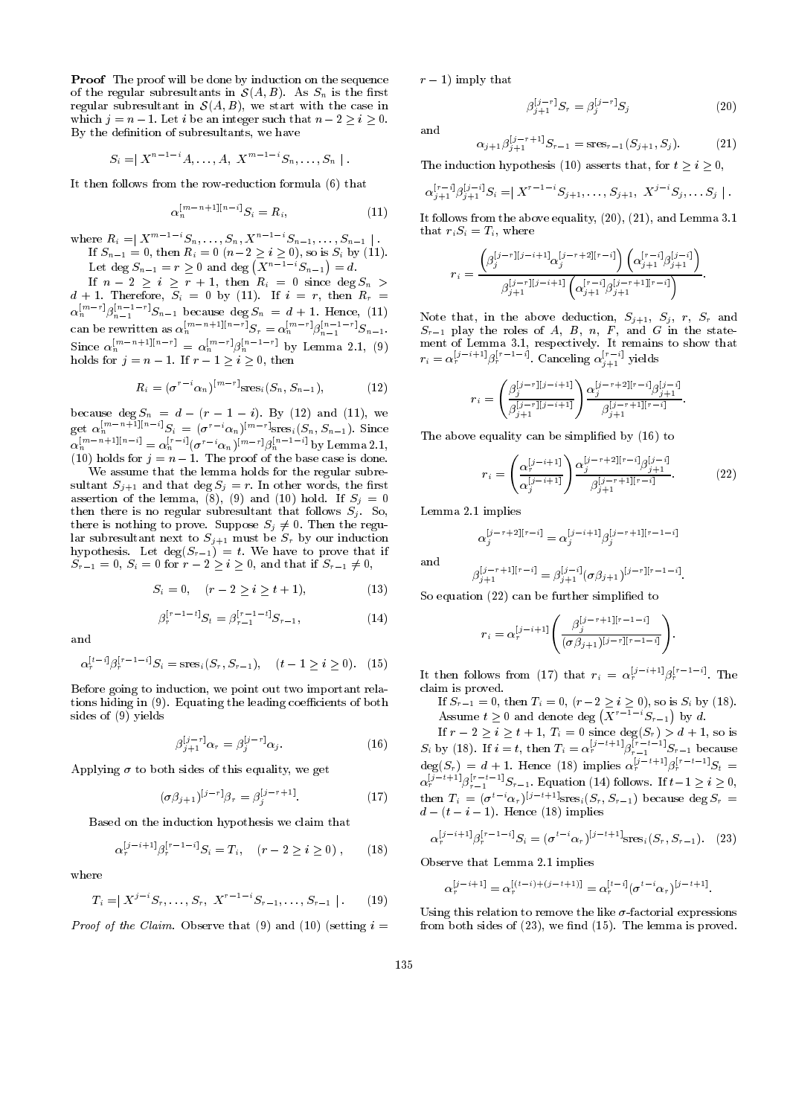Proof The proof will be done by induction on the sequence of the regular subresultants in  $\mathcal{S}(A, B)$ . As  $S_n$  is the first regular subresultant in  $S(A, B)$ , we start with the case in which  $j = n - 1$ . Let i be an integer such that  $n - 2 \geq i \geq 0$ . By the definition of subresultants, we have

$$
S_i = | X^{n-1-i}A, \ldots, A, X^{m-1-i}S_n, \ldots, S_n |.
$$

It then follows from the row-reduction formula (6) that

$$
\alpha_n^{\lfloor m-n+1\rfloor\lfloor n-i\rfloor} S_i = R_i,\tag{11}
$$

where  $R_i = \begin{bmatrix} X^m & S_n, \ldots, S_n, X^n & S_{n-1}, \ldots, S_{n-1} \end{bmatrix}$ . If Sn1 = 0, then Ri =0(n2 <sup>i</sup> 0), so is Si by (11). Let deg  $S_{n-1} = r > 0$  and deg  $(X^{n-1-i}S_{n-1}) = d$ . If no since degree  $\sim$  1, then  $\sim$  1, then Ri  $\sim$  1, then Ri  $\sim$  1, then Ri  $\sim$  1, then Ri  $\sim$  1, then Ri  $\sim$ 

d  $\alpha$  , then therefore, since  $\alpha$  is  $\alpha$  and  $\alpha$  is the reference and  $\alpha$  . If it is interesting to the reference of  $\alpha$  $\alpha_n^{\text{max}}$  i  $\beta_{n-1}^{\text{max}}$  because deg  $S_n = d + 1$ . Hence, (11) can be rewritten as  $\alpha_n^{n^m}$  is the sum if  $S_r = \alpha_n^{n^m}$  if  $\beta_{n-1}^{n^m}$  if  $S_{n-1}$ . Since  $\alpha_n^{\alpha}$   $\alpha_{1}^{n+1}\alpha_{2}^{n}$  =  $\alpha_n^{\alpha}$   $\beta_n^{\alpha}$  for Lemma 2.1, (9) holds for  $j = n - 1$ . If  $r - 1 \ge i \ge 0$ , then

$$
R_i = (\sigma^{r-i} \alpha_n)^{[m-r]} \text{res}_i(S_n, S_{n-1}), \tag{12}
$$

 $\mathcal{L}$  . By (12) and (12) and (12) and (12) and (12) and (12) and (12) and (12) and (12) and (12) and (12) and (12) and (12) and (12) and (12) and (12) and (12) and (12) and (12) and (12) and (12) and (12) and (12) and get  $\alpha_n^{n^{\alpha}}$  is the  $S_i = (\sigma^{n^{\alpha}} \alpha_n)^{n^{\alpha-1}}$  sres $(S_n, S_{n-1})$ . Since  $\alpha_n^{n^{\alpha}}$   $\cdots$   $\alpha_{n}^{n}$   $\cdots$   $\alpha_n^{n}$   $\cdots$   $\beta_n^{n}$   $\cdots$  by Lemma 2.1, (10) holds for <sup>j</sup> <sup>=</sup> <sup>n</sup> 1. The proof of the base case is done.

We assume that the lemma holds for the regular subresultant  $S_{j+1}$  and that  $\deg S_j = r$ . In other words, the first assertion of the lemma,  $(8)$ ,  $(9)$  and  $(10)$  hold. If  $S_i = 0$ then there is no regular subresultant that follows  $S_j$ . So, there is nothing to prove. Suppose  $S_j \neq 0$ . Then the regular subresultant next to  $S_{j+1}$  must be  $S_r$  by our induction hypothesis. Let  $\deg(S_{r-1}) = t$ . We have to prove that if  $S_{r-1} = 0, S_i = 0$  for  $r - 2 \geq i \geq 0$ , and that if  $S_{r-1} \neq 0$ ,

$$
S_i = 0, \quad (r - 2 \ge i \ge t + 1), \tag{13}
$$

$$
\beta_r^{[r-1-t]} S_t = \beta_{r-1}^{[r-1-t]} S_{r-1},\tag{14}
$$

$$
\alpha_r^{[t-i]} \beta_r^{[r-1-i]} S_i = \operatorname{sres}_i(S_r, S_{r-1}), \quad (t-1 \ge i \ge 0). \tag{15}
$$

Before going to induction, we point out two important relations hiding in  $(9)$ . Equating the leading coefficients of both sides of (9) yields

$$
\beta_{j+1}^{[j-r]} \alpha_r = \beta_j^{[j-r]} \alpha_j. \tag{16}
$$

Applying  $\sigma$  to both sides of this equality, we get

$$
(\sigma \beta_{j+1})^{[j-r]} \beta_r = \beta_j^{[j-r+1]}.
$$
 (17)

Based on the induction hypothesis we claim that

$$
\alpha_r^{[j-i+1]} \beta_r^{[r-1-i]} S_i = T_i, \quad (r-2 \ge i \ge 0) , \qquad (18)
$$

$$
T_i = | X^{j-i} S_r, \dots, S_r, \ X^{r-1-i} S_{r-1}, \dots, S_{r-1} |.
$$
 (19)

*Proof of the Claim.* Observe that (9) and (10) (setting  $i =$ 

 $r - 1$ ) imply that

$$
\beta_{j+1}^{[j-r]} S_r = \beta_j^{[j-r]} S_j \tag{20}
$$

and

$$
\alpha_{j+1}\beta_{j+1}^{[j-r+1]}S_{r-1} = \text{res}_{r-1}(S_{j+1}, S_j). \tag{21}
$$

The induction hypothesis (10) asserts that, for  $t \ge i \ge 0$ ,

$$
\alpha_{j+1}^{[r-i]} \beta_{j+1}^{[j-i]} S_i = |X^{r-1-i} S_{j+1}, \ldots, S_{j+1}, X^{j-i} S_j, \ldots S_j |.
$$

It follows from the above equality, (20), (21), and Lemma 3.1 that  $r_iS_i = T_i$ , where

$$
r_i = \frac{\left(\beta_j^{[j-r][j-i+1]}\alpha_j^{[j-r+2][r-i]}\right)\left(\alpha_{j+1}^{[r-i]}\beta_{j+1}^{[j-i]}\right)}{\beta_{j+1}^{[j-r][j-i+1]}\left(\alpha_{j+1}^{[r-i]}\beta_{j+1}^{[j-r+1][r-i]}\right)}.
$$

Note that, in the above deduction,  $S_{j+1}$ ,  $S_j$ ,  $r$ ,  $S_r$  and Sr1 play the roles of A, B, n, <sup>F</sup> , and <sup>G</sup> in the state ment of Lemma 3.1, respectively. It remains to show that  $r_i = \alpha_r^{U^{(i-1)}+1} \beta_r^{U^{(i-1)}+1}$ . Canceling  $\alpha_{i+1}^{V^{(i)}}$  yields

$$
r_i=\left(\frac{\beta_j^{[j-r][j-i+1]}}{\beta_{j+1}^{[j-r][j-i+1]}}\right)\frac{\alpha_j^{[j-r+2][r-i]}\beta_{j+1}^{[j-i]}}{\beta_{j+1}^{[j-r+1][r-i]}}.
$$

The above equality can be simplified by  $(16)$  to

$$
r_i = \left(\frac{\alpha_j^{[j-i+1]}}{\alpha_j^{[j-i+1]}}\right) \frac{\alpha_j^{[j-r+2][r-i]} \beta_{j+1}^{[j-i]}}{\beta_{j+1}^{[j-r+1][r-i]}}.
$$
 (22)

Lemma 2.1 implies

$$
\alpha_j^{[j-r+2][r-i]} = \alpha_j^{[j-i+1]} \beta_j^{[j-r+1][r-1-i]}
$$

 $\beta_{j+1}^{U}$  is  $\beta_{j+1}^{U}(\sigma\beta_{j+1})^{U}$  in Fig.

So equation (22) can be further simplified to

$$
r_i = \alpha_r^{[j-i+1]} \left( \frac{\beta_j^{[j-r+1][r-1-i]}}{(\sigma \beta_{j+1})^{[j-r][r-1-i]}} \right).
$$

It then follows from (17) that  $r_i = \alpha_r^{1}$  is  $\beta_r^{1}$  . The claim is proved.

If  $S_{r-1} = 0$ , then  $T_i = 0$ ,  $(r-2 \ge i \ge 0)$ , so is  $S_i$  by (18). Assume  $t \geq 0$  and denote deg  $(\overline{X}^{r-1-i}S_{r-1})$  by d.

If <sup>r</sup> <sup>2</sup> <sup>i</sup> <sup>t</sup> + 1, Ti = 0 since deg(Sr) > d + 1, so is  $S_i$  by (18). If  $i = t$ , then  $T_i = \alpha_r^{\omega}$  is  $\beta_{r-1}^{\omega}$  is  $S_{r-1}$  because  $deg(S_r) = d + 1$ . Hence (18) implies  $\alpha_r^{\nu}$  is  $S_r^{\nu}$  if  $S_t =$  $\alpha_r^{\nu}$   $\cdots \beta_{r-1}^{\nu}$   $\cdots$   $S_{r-1}$ . Equation (14) follows. If  $t-1 \geq i \geq 0$ , then  $T_i = (\sigma^* \alpha_r)$ <sup>to</sup>  $\text{``Sres}_i(S_r, S_{r-1})$  because deg  $S_r =$  $d - (t - i - 1)$ . Hence (18) implies

$$
\alpha_r^{[j-i+1]} \beta_r^{[r-1-i]} S_i = (\sigma^{t-i} \alpha_r)^{[j-t+1]} \text{res}_i(S_r, S_{r-1}). \tag{23}
$$

Observe that Lemma 2.1 implies

$$
\alpha_r^{[j-i+1]} = \alpha_r^{[(t-i)+(j-t+1)]} = \alpha_r^{[t-i]} (\sigma^{t-i} \alpha_r)^{[j-t+1]}.
$$

Using this relation to remove the like  $\sigma$ -factorial expressions from both sides of  $(23)$ , we find  $(15)$ . The lemma is proved.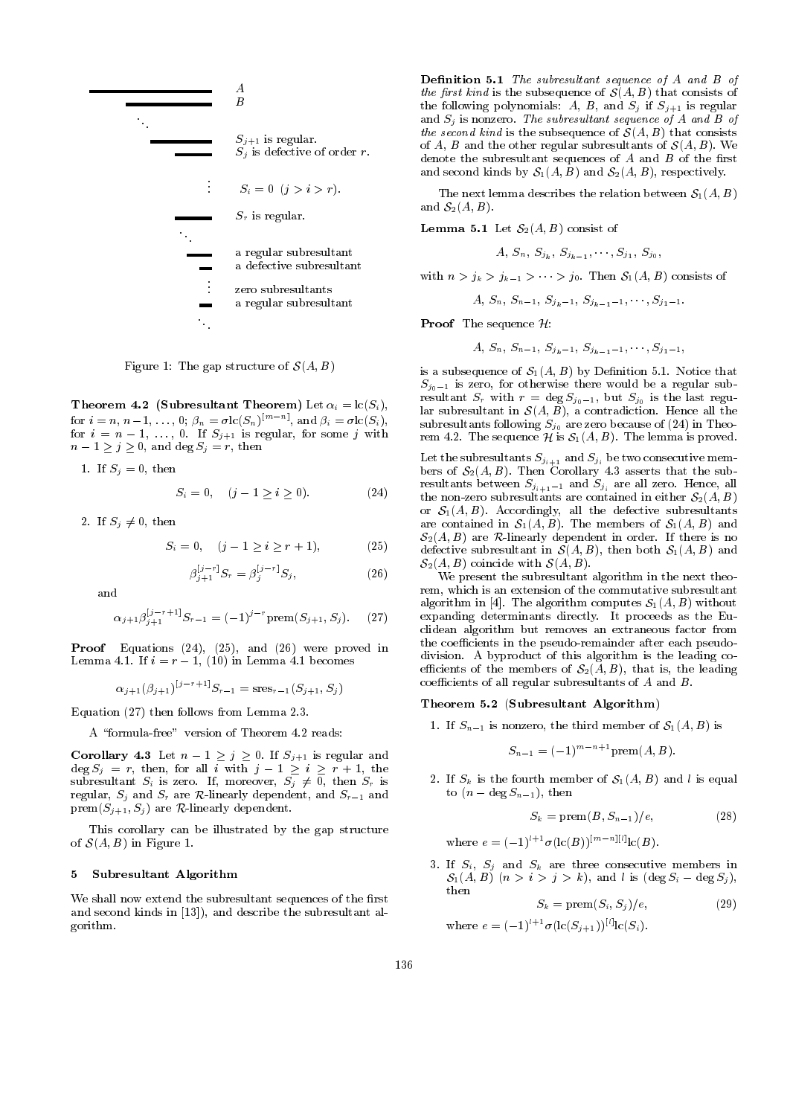

Figure 1: The gap structure of  $\mathcal{S}(A, B)$ 

Theorem 4.2 (Subresultant Theorem) Let  $\alpha_i = \text{lc}(S_i)$ , for  $i = n, n-1, \ldots, 0$ ;  $\beta_n = \sigma(c(S_n))^m$  and  $\beta_i = \sigma(c(S_i))$ , for  $i = n - 1, \ldots, 0$ . If  $S_{j+1}$  is regular, for some j with  $n - 1 \geq j \geq 0$ , and deg  $S_j = r$ , then

1. If  $S_i = 0$ , then

$$
S_i = 0, \quad (j - 1 \ge i \ge 0). \tag{24}
$$

2. If  $S_j \neq 0$ , then

$$
S_i = 0, \quad (j - 1 \ge i \ge r + 1), \tag{25}
$$

$$
\beta_{j+1}^{[j-r]} S_r = \beta_j^{[j-r]} S_j,\tag{26}
$$

and

$$
\alpha_{j+1}\beta_{j+1}^{[j-r+1]}S_{r-1} = (-1)^{j-r} \text{prem}(S_{j+1}, S_j). \tag{27}
$$

Proof Equations (24), (25), and (26) were proved in Lemma 4.1. If  $i = r - 1$ , (10) in Lemma 4.1 becomes

$$
\alpha_{j+1}(\beta_{j+1})^{[j-r+1]}S_{r-1}={\rm sres}_{r-1}(S_{j+1},S_j)
$$

Equation (27) then follows from Lemma 2.3.

A "formula-free" version of Theorem 4.2 reads:

Corollary 4.3 Let  $n - 1 \geq j \geq 0$ . If  $S_{j+1}$  is regular and  $\deg S_j = r$ , then, for all  $i \text{ with } j-1 \geq i \geq r+1$ , the subresultant  $S_i$  is zero. If, moreover,  $S_j \neq 0$ , then  $S_r$  is regular,  $S_i$  and  $S_r$  are R-linearly dependent, and  $S_{r-1}$  and  $prem(S_{j+1}, S_j)$  are R-linearly dependent.

This corollary can be illustrated by the gap structure of  $\mathcal{S}(A, B)$  in Figure 1.

### 5 Subresultant Algorithm

We shall now extend the subresultant sequences of the first and second kinds in [13]), and describe the subresultant algorithm.

Definition 5.1 The subresultant sequence of A and B of the first kind is the subsequence of  $\mathcal{S}(A, B)$  that consists of the following polynomials: A, B, and  $S_j$  if  $S_{j+1}$  is regular and  $S_j$  is nonzero. The subresultant sequence of A and B of the second kind is the subsequence of  $\mathcal{S}(A, B)$  that consists of A, B and the other regular subresultants of  $\mathcal{S}(A, B)$ . We denote the subresultant sequences of  $A$  and  $B$  of the first and second kinds by  $S_1(A, B)$  and  $S_2(A, B)$ , respectively.

The next lemma describes the relation between  $S_1(A, B)$ and  $S_2(A, B)$ .

**Lemma 5.1** Let  $S_2(A, B)$  consist of

$$
A,\, S_n,\, S_{j_k},\, S_{j_{k-1}},\cdots,S_{j_1},\, S_{j_0},\,
$$

with  $n > j_k > j_{k-1} > \cdots > j_0$ . Then  $S_1(A, B)$  consists of

$$
A,\, S_n,\, S_{n-1},\, S_{j_k-1},\, S_{j_{k-1}-1},\cdots,S_{j_1-1}.
$$

**Proof** The sequence  $\mathcal{H}$ :

$$
A,\,S_n,\,S_{n-1},\,S_{j_k-1},\,S_{j_{k-1}-1},\cdots,S_{j_1-1},
$$

is a subsequence of  $S_1(A, B)$  by Definition 5.1. Notice that  $S_{j_0-1}$  is zero, for otherwise there would be a regular subresultant  $S_r$  with  $r = \deg S_{j_0-1}$ , but  $S_{j_0}$  is the last regular subresultant in  $\mathcal{S}(A, B)$ , a contradiction. Hence all the subresultants following  $S_{j_0}$  are zero because of (24) in Theorem 4.2. The sequence  $\mathcal{H}$  is  $\mathcal{S}_1(A, B)$ . The lemma is proved.

Let the subresultants  $\omega_{j_1+1}$  and  $\omega_{j_1}$  be two consecutive memory bers of S2(A; B): The sub-serts that the sub-serts that the sub-serts that the sub-serts that the sub-serts that the sub-serts that the sub-serts that the sub-serts that the sub-serts that the sub-serts that the sub-serts resultants between  $S_{j_{i+1}-1}$  and  $S_{j_i}$  are all zero. Hence, all the non-zero subresultants are contained in either  $S_2(A, B)$ or  $S_1(A, B)$ . Accordingly, all the defective subresultants are contained in  $S_1(A, B)$ . The members of  $S_1(A, B)$  and  $\mathcal{S}_2(A, B)$  are R-linearly dependent in order. If there is no defective subresultant in  $S(A, B)$ , then both  $S<sub>1</sub>(A, B)$  and  $\mathcal{S}_2(A, B)$  coincide with  $\mathcal{S}(A, B)$ .

We present the subresultant algorithm in the next theorem, which is an extension of the commutative subresultant algorithm in [4]. The algorithm computes  $S_1(A, B)$  without expanding determinants directly. It proceeds as the Euclidean algorithm but removes an extraneous factor from the coefficients in the pseudo-remainder after each pseudodivision. A byproduct of this algorithm is the leading co efficients of the members of  $S_2(A, B)$ , that is, the leading coefficients of all regular subresultants of  $A$  and  $B$ .

### Theorem 5.2 (Subresultant Algorithm)

1. If  $S_{n-1}$  is nonzero, the third member of  $S_1(A, B)$  is

$$
S_{n-1} = (-1)^{m-n+1} \operatorname{prem}(A, B).
$$

2. If  $S_k$  is the fourth member of  $S_1(A, B)$  and l is equal to  $(n - \deg S_{n-1})$ , then

$$
S_k = \text{prem}(B, S_{n-1})/e,\tag{28}
$$

where  $e = (-1)^{l+1}\sigma(\text{lc}(B))^{[m-n][l]}(\text{lc}(B)).$ 

3. If  $S_i$ ,  $S_j$  and  $S_k$  are three consecutive members in  $\mathcal{S}_1(A, B)$   $(n > i > j > k)$ , and l is  $(\text{deg } S_i - \text{deg } S_j)$ , then

$$
S_k = \text{prem}(S_i, S_j) / e,\tag{29}
$$

where  $e = (-1)^{l+1}\sigma(\mathrm{lc}(S_{j+1}))^{[l]} \mathrm{lc}(S_i)$ .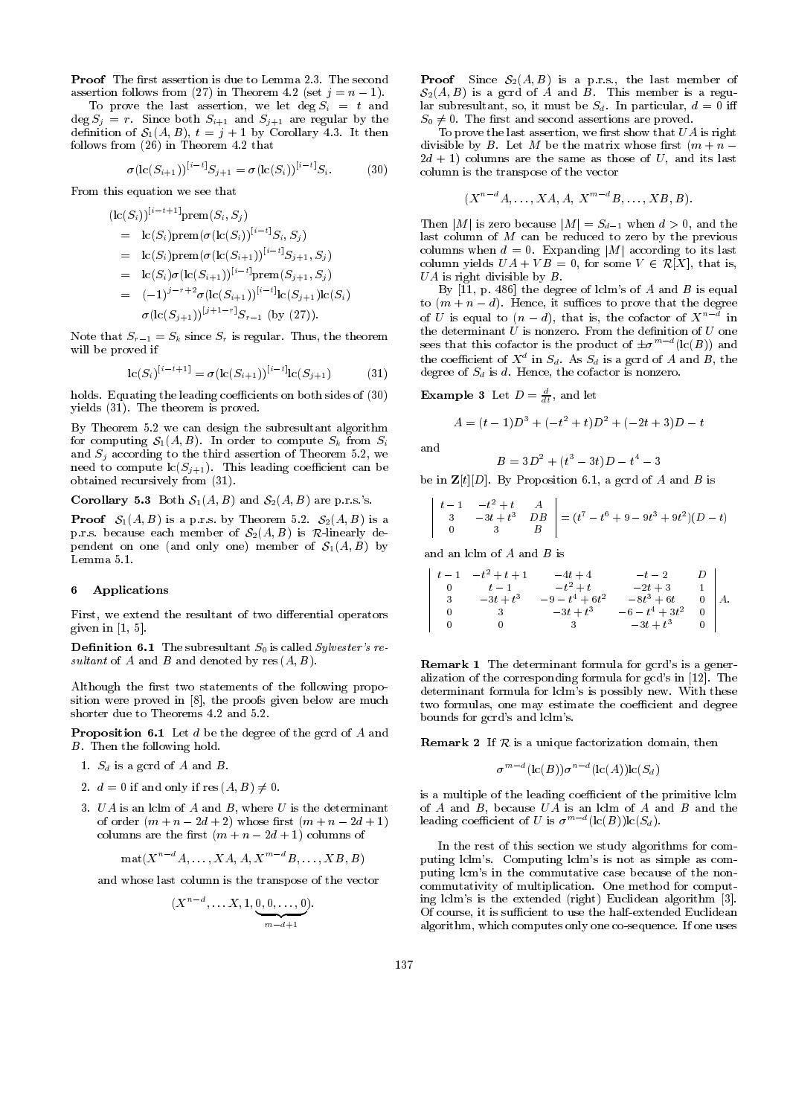Proof The first assertion is due to Lemma 2.3. The second assertion follows from (27) in Theorem 4.2 (set  $j = n - 1$ ).

To prove the last assertion, we let  $\deg S_i = t$  and  $\deg S_j = r$ . Since both  $S_{i+1}$  and  $S_{j+1}$  are regular by the definition of  $S_1(A, B)$ ,  $t = j + 1$  by Corollary 4.3. It then follows from (26) in Theorem 4.2 that

$$
\sigma(\mathrm{lc}(S_{i+1}))^{[i-t]}S_{j+1} = \sigma(\mathrm{lc}(S_i))^{[i-t]}S_i.
$$
 (30)

From this equation we see that

$$
(lc(S_i))^{[i-t+1]} \text{prem}(S_i, S_j)
$$
  
= lc(S<sub>i</sub>) \text{prem}(\sigma(lc(S<sub>i</sub>))^{[i-t]}S\_i, S\_j)  
= lc(S<sub>i</sub>) \text{prem}(\sigma(lc(S<sub>i+1</sub>))^{[i-t]}S\_{j+1}, S\_j)  
= lc(S<sub>i</sub>)\sigma(lc(S<sub>i+1</sub>))^{[i-t]} \text{prem}(S\_{j+1}, S\_j)  
= (-1)^{j-r+2} \sigma(lc(S\_{i+1}))^{[i-t]} lc(S\_{j+1})lc(S\_i)  
\sigma(lc(S\_{j+1}))^{[j+1-r]}S\_{r-1} (by (27)).

Note that  $S_{r-1} = S_k$  since  $S_r$  is regular. Thus, the theorem will be proved if

$$
lc(S_i)^{[i-t+1]} = \sigma(lc(S_{i+1}))^{[i-t]}lc(S_{j+1})
$$
 (31)

holds. Equating the leading coefficients on both sides of  $(30)$ yields (31). The theorem is proved.

By Theorem 5.2 we can design the subresultant algorithm for computing  $S_1(A, B)$ . In order to compute  $S_k$  from  $S_i$ and  $S_j$  according to the third assertion of Theorem 5.2, we need to compute  $\mathrm{lc}(S_{i+1})$ . This leading coefficient can be obtained recursively from (31).

**Corollary 5.3** Both  $S_1(A, B)$  and  $S_2(A, B)$  are p.r.s.'s.

**Proof**  $S_1(A, B)$  is a p.r.s. by Theorem 5.2.  $S_2(A, B)$  is a p.r.s. because each member of  $S_2(A, B)$  is R-linearly dependent on one (and only one) member of  $S_1(A, B)$  by Lemma 5.1.

### 6 Applications

First, we extend the resultant of two differential operators given in  $[1, 5]$ .

**Definition 6.1** The subresultant  $S_0$  is called *Sylvester's re*sultant of A and B and denoted by  $res(A, B)$ .

Although the first two statements of the following proposition were proved in [8], the proofs given below are much shorter due to Theorems 4.2 and 5.2.

**Proposition 6.1** Let d be the degree of the gcrd of A and B. Then the following hold.

- 1.  $S_d$  is a gcrd of  $A$  and  $B$ .
- 2.  $d = 0$  if and only if  $res(A, B) \neq 0$ .
- 3.  $UA$  is an lclm of  $A$  and  $B$ , where  $U$  is the determinant of order  $(m+n-2d+2)$  whose first  $(m+n-2d+1)$ columns are the first  $(m + n - 2d + 1)$  columns of

$$
\mathrm{mat}(X^{n-d}A,\ldots,XA, A, X^{m-d}B,\ldots, XB, B)
$$

and whose last column is the transpose of the vector

$$
(X^{n-d},\ldots X,1,\underbrace{0,0,\ldots,0}_{m-d+1}).
$$

**Proof** Since  $S_2(A, B)$  is a p.r.s., the last member of  $S_2(A, B)$  is a gcrd of A and B. This member is a regular subresultant, so, it must be  $S_d$ . In particular,  $d = 0$  iff  $\sim$  0. The second assertion assertions are proved. The proved assertions are proved. The proved assertions are proved.

To prove the last assertion, we first show that  $UA$  is right divisible by B. Let M be the matrix whose first  $(m + n 2d + 1$ ) columns are the same as those of U, and its last column is the transpose of the vector

$$
(X^{n-d}A,\ldots,XA, A, X^{m-d}B,\ldots, XB, B).
$$

Then |M| is zero because  $|M| = S_{d-1}$  when  $d > 0$ , and the last column of M can be reduced to zero by the previous columns when  $d = 0$ . Expanding |M| according to its last column yields  $UA + VB = 0$ , for some  $V \in \mathcal{R}[X]$ , that is,  $UA$  is right divisible by  $B$ .

By  $[11, p. 486]$  the degree of lclm's of A and B is equal to  $(m + n - d)$ . Hence, it suffices to prove that the degree of U is equal to  $(n-d)$ , that is, the cofactor of  $X^{\sim}$  in sees that this cofactor is the product of  $\pm \sigma^{m-d}(\text{lc}(B))$  and the coefficient of  $X^{\pm}$  in  $S_d$ . As  $S_d$  is a gcrd of  $A$  and  $B,$  the degree of  $S_d$  is d. Hence, the cofactor is nonzero.

**Example 3** Let  $D = \frac{d}{dt}$ , and let

$$
A = (t - 1)D3 + (-t2 + t)D2 + (-2t + 3)D - t
$$

and

$$
B = 3D^2 + (t^3 - 3t)D - t^4 - 3
$$

be in  $\mathbf{Z}[t][D]$ . By Proposition 6.1, a gcrd of A and B is

$$
\begin{vmatrix} t-1 & -t^2+t & A \\ 3 & -3t+t^3 & DB \\ 0 & 3 & B \end{vmatrix} = (t^7 - t^6 + 9 - 9t^3 + 9t^2)(D-t)
$$

and an lclm of A and B is

$$
\left|\begin{array}{cccccc} t-1 & -t^2+t+1 & -4t+4 & -t-2 & D \\ 0 & t-1 & -t^2+t & -2t+3 & 1 \\ 3 & -3t+t^3 & -9-t^4+6t^2 & -8t^3+6t & 0 \\ 0 & 3 & -3t+t^3 & -6-t^4+3t^2 & 0 \\ 0 & 0 & 3 & -3t+t^3 & 0 \end{array}\right| A.
$$

Remark 1 The determinant formula for gcrd's is a generalization of the corresponding formula for gcd's in [12]. The determinant formula for lclm's is possibly new. With these two formulas, one may estimate the coefficient and degree bounds for gcrd's and lclm's.

**Remark 2** If  $R$  is a unique factorization domain, then

$$
\sigma^{m-d}(\mathrm{lc}(B))\sigma^{n-d}(\mathrm{lc}(A))\mathrm{lc}(S_d)
$$

is a multiple of the leading coefficient of the primitive lclm of  $A$  and  $B$ , because  $UA$  is an lclm of  $A$  and  $B$  and the leading coefficient of U is  $\sigma^{m}$  "(Ic(B))lc(S<sub>d</sub>).

In the rest of this section we study algorithms for computing lclm's. Computing lclm's is not as simple as com puting lcm's in the commutative case because of the non commutativity of multiplication. One method for computing lclm's is the extended (right) Euclidean algorithm [3]. Of course, it is sufficient to use the half-extended Euclidean algorithm, which computes only one co-sequence. If one uses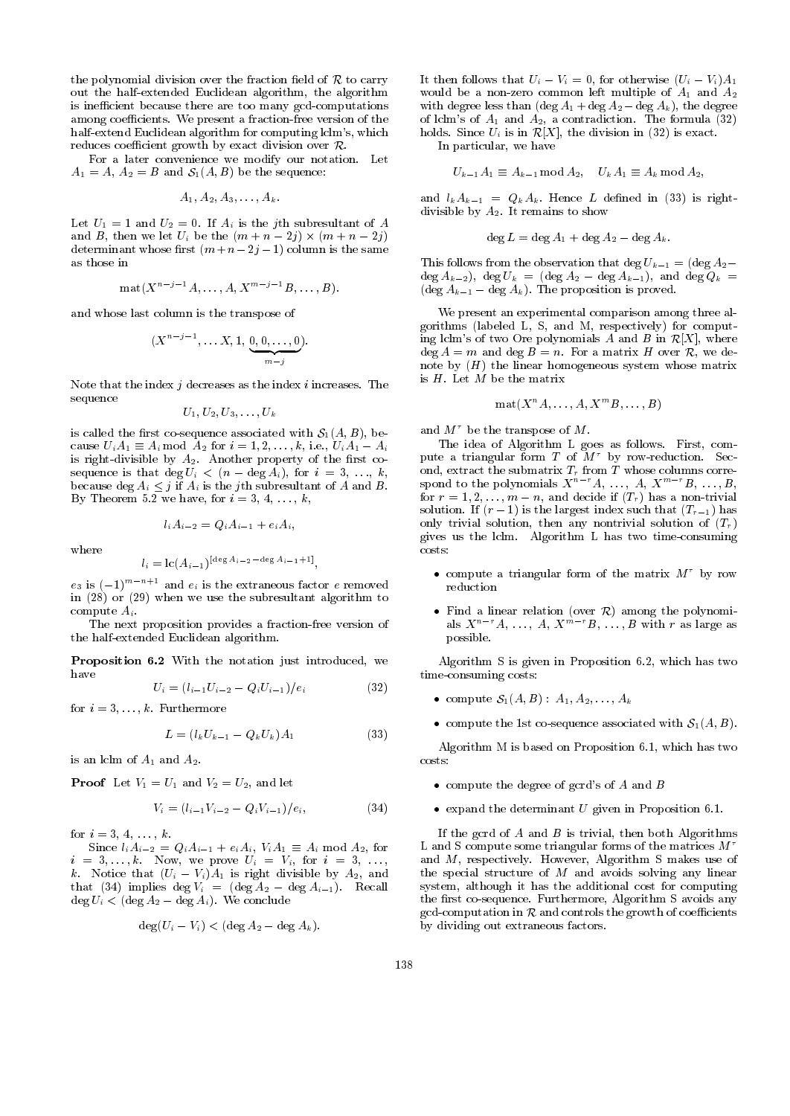the polynomial division over the fraction field of  $R$  to carry out the half-extended Euclidean algorithm, the algorithm is inefficient because there are too many gcd-computations among coefficients. We present a fraction-free version of the half-extend Euclidean algorithm for computing lclm's, which reduces coefficient growth by exact division over  $\mathcal{R}$ .

For a later convenience we modify our notation. Let  $A$  and  $A$  and  $A$  sequence: B and S1(A; B) be the sequence: B and S1(A; B) be the sequence: B and S1(A; B) be the sequence: B and S1(A; B) be the sequence: B and S1(A; B) be the sequence: B and S1(A; B) be the sequence:

$$
A_1, A_2, A_3, \ldots, A_k.
$$

Let U1 = 1 and U2 = 0. If Ai is the jth subresultant of <sup>A</sup> and B, then we let  $U$  be the (m  $\sim$  1)  $\sim$  1)  $\sim$  1)  $\sim$  1)  $\sim$ determinant whose first  $(m+n-2j-1)$  column is the same as those in

$$
\mathrm{mat}(X^{n-j-1}A,\ldots,A,X^{m-j-1}B,\ldots,B).
$$

and whose last column is the transpose of

$$
(X^{n-j-1},\ldots X,1,\underbrace{0,0,\ldots,0}_{m-j}).
$$

Note that the index  $j$  decreases as the index  $i$  increases. The sequence

$$
U_1, U_2, U_3, \ldots, U_k
$$

is called the first co-sequence associated with  $S_1(A, B)$ , because  $U_iA_1 \equiv A_i \bmod A_2$  for  $i = 1, 2, ..., k$ , i.e.,  $U_iA_1 - A_i$ is right-divisible by  $A_2$ . Another property of the first cosequence is that  $\deg U_i < (n - \deg A_i)$ , for  $i = 3, \ldots, k$ , because deg  $A_i \leq j$  if  $A_i$  is the jth subresultant of A and B. By Theorem 5.2 we have, for  $i = 3, 4, \ldots, k$ ,

$$
l_i A_{i-2} = Q_i A_{i-1} + e_i A_i,
$$

$$
l_i = \mathrm{lc}(A_{i-1})^{[\deg A_{i-2} - \deg A_{i-1} + 1]},
$$

 $e_3$  is  $(-1)^{m+n+1}$  and  $e_i$  is the extraneous factor e removed in (28) or (29) when we use the subresultant algorithm to compute  $A_i$ .  $\sim$  computer  $\sim$  . And  $\sim$ 

The next proposition provides a fraction-free version of the half-extended Euclidean algorithm.

Proposition 6.2 With the notation just introduced, we have

$$
U_i = (l_{i-1}U_{i-2} - Q_i U_{i-1})/e_i \tag{32}
$$

for  $i = 3, \ldots, k$ . Furthermore

$$
L = (l_k U_{k-1} - Q_k U_k) A_1 \tag{33}
$$

is an lclm of  $A_1$  and  $A_2$ .

Proof Let V1 <sup>=</sup> U1 and V2 <sup>=</sup> U2, and let

$$
V_i = (l_{i-1}V_{i-2} - Q_iV_{i-1})/e_i, \qquad (34)
$$

for  $i = 3, 4, ..., k$ .

Since 1919, 2019. The Line and Alice and Annual income and Alice and A2, for all and A2, for all and A2, for a <sup>i</sup> <sup>=</sup> 3;:::;k. Now, we prove Ui <sup>=</sup> Vi , for <sup>i</sup> <sup>=</sup> 3, ..., k. Notice that  $(U_i - V_i)A_1$  is right divisible by  $A_2$ , and that (34) implies deg  $V_i = (\text{deg } A_2 - \text{deg } A_{i-1})$ . Recall deg  $U_i < ( \text{deg } A_2 - \text{deg } A_i )$ . We conclude

$$
\deg(U_i-V_i)<(\deg A_2-\deg A_k).
$$

It then follows that  $U_i - V_i = 0$ , for otherwise  $(U_i - V_i)A_1$ where a non-zero common left multiple of  $\mathbb{R}^n$  and  $\mathbb{R}^n$  and  $\mathbb{R}^n$  and  $\mathbb{R}^n$ with degree less than  $(\text{deg }A_1 + \text{deg }A_2 - \text{deg }A_k)$ , the degree of lclm's of  $A_1$  and  $A_2$ , a contradiction. The formula (32) holds. Since  $U_i$  is in  $\mathcal{R}[X]$ , the division in (32) is exact.

In particular, we have

$$
U_{k-1}A_1\equiv A_{k-1}\ \mathrm{mod}\ A_2,\quad U_kA_1\equiv A_k\ \mathrm{mod}\ A_2,
$$

and  $l_k A_{k-1} = Q_k A_k$ . Hence L defined in (33) is rightdivisible by  $A_2$ . It remains to show

$$
\deg L = \deg A_1 + \deg A_2 - \deg A_k.
$$

 $deg L = deg A_1 + deg A_2 - deg A_k.$ This follows from the observation that deg  $U_{k-1} = (deg A_2 - deg A_1)$  $\deg A_{k-2}$ ,  $\deg U_k = (\deg A_2 - \deg A_{k-1}),$  and  $\deg Q_k =$  $(\text{deg }A_{k-1} - \text{deg }A_k)$ . The proposition is proved.

We present an experimental comparison among three algorithms (labeled L, S, and M, respectively) for computing lclm's of two Ore polynomials A and B in  $\mathcal{R}[X]$ , where  $\deg A = m$  and  $\deg B = n$ . For a matrix H over R, we denote by  $(H)$  the linear homogeneous system whose matrix is  $H$ . Let  $M$  be the matrix

$$
\mathrm{mat}(X^nA,\ldots,A,X^mB,\ldots,B)
$$

and  $M^{\tau}$  be the transpose of M.

The idea of Algorithm L goes as follows. First, com pute a triangular form  $T$  of  $M^{\tau}$  by row-reduction. Secspond to the polynomials  $X^{n-r}A, \ldots, A, X^{m-r}B, \ldots, B,$ for  $r = 1, 2, \ldots, m - n$ , and decide if  $(T_r)$  has a non-trivial solution. If  $(r-1)$  is the largest index such that  $(T_{r-1})$  has only trivial solution, then any nontrivial solution of  $(T_r)$ gives us the lclm. Algorithm L has two time-consuming costs:

- compute a triangular form of the matrix  $M^{\tau}$  by row reduction
- als  $X^{n-r}A, \ldots, A, X^{m-r}B, \ldots, B$  with r as large as possible. possible.

Algorithm S is given in Proposition 6.2, which has two time-consuming costs:

- compute  $S_1(A, B) : A_1, A_2, \ldots, A_k$
- compute the 1st co-sequence associated with  $S_1(A, B)$ .

Algorithm M is based on Proposition 6.1, which has two costs:

- compute the degree of gcrd's of  $A$  and  $B$
- $\bullet$  expand the determinant U given in Proposition 6.1.

If the gcrd of  $A$  and  $B$  is trivial, then both Algorithms L and S compute some triangular forms of the matrices  $M^{\tau}$ and M, respectively. However, Algorithm S makes use of the special structure of  $M$  and avoids solving any linear system, although it has the additional cost for computing the first co-sequence. Furthermore, Algorithm S avoids any gcd-computation in  $R$  and controls the growth of coefficients by dividing out extraneous factors.